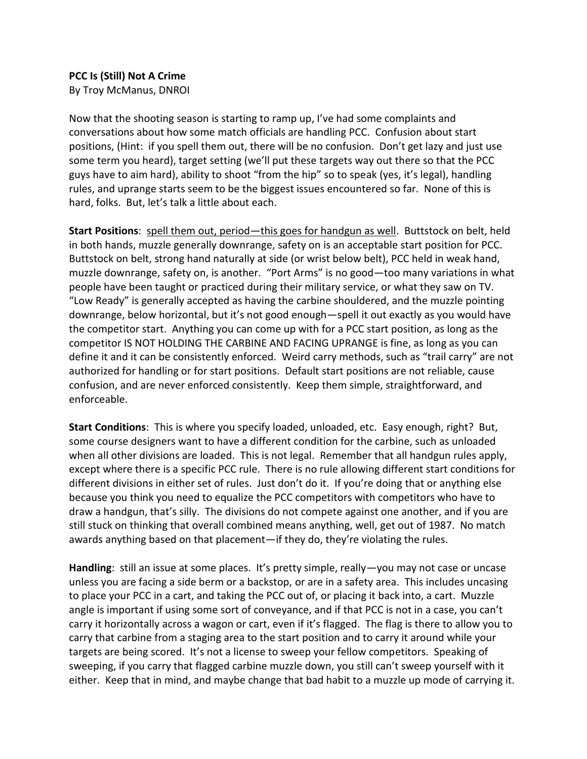## **PCC Is (Still) Not A Crime**

By Troy McManus, DNROI

Now that the shooting season is starting to ramp up, I've had some complaints and conversations about how some match officials are handling PCC. Confusion about start positions, (Hint: if you spell them out, there will be no confusion. Don't get lazy and just use some term you heard), target setting (we'll put these targets way out there so that the PCC guys have to aim hard), ability to shoot "from the hip" so to speak (yes, it's legal), handling rules, and uprange starts seem to be the biggest issues encountered so far. None of this is hard, folks. But, let's talk a little about each.

**Start Positions**: spell them out, period—this goes for handgun as well. Buttstock on belt, held in both hands, muzzle generally downrange, safety on is an acceptable start position for PCC. Buttstock on belt, strong hand naturally at side (or wrist below belt), PCC held in weak hand, muzzle downrange, safety on, is another. "Port Arms" is no good—too many variations in what people have been taught or practiced during their military service, or what they saw on TV. "Low Ready" is generally accepted as having the carbine shouldered, and the muzzle pointing downrange, below horizontal, but it's not good enough—spell it out exactly as you would have the competitor start. Anything you can come up with for a PCC start position, as long as the competitor IS NOT HOLDING THE CARBINE AND FACING UPRANGE is fine, as long as you can define it and it can be consistently enforced. Weird carry methods, such as "trail carry" are not authorized for handling or for start positions. Default start positions are not reliable, cause confusion, and are never enforced consistently. Keep them simple, straightforward, and enforceable.

**Start Conditions**: This is where you specify loaded, unloaded, etc. Easy enough, right? But, some course designers want to have a different condition for the carbine, such as unloaded when all other divisions are loaded. This is not legal. Remember that all handgun rules apply, except where there is a specific PCC rule. There is no rule allowing different start conditions for different divisions in either set of rules. Just don't do it. If you're doing that or anything else because you think you need to equalize the PCC competitors with competitors who have to draw a handgun, that's silly. The divisions do not compete against one another, and if you are still stuck on thinking that overall combined means anything, well, get out of 1987. No match awards anything based on that placement—if they do, they're violating the rules.

**Handling**: still an issue at some places. It's pretty simple, really—you may not case or uncase unless you are facing a side berm or a backstop, or are in a safety area. This includes uncasing to place your PCC in a cart, and taking the PCC out of, or placing it back into, a cart. Muzzle angle is important if using some sort of conveyance, and if that PCC is not in a case, you can't carry it horizontally across a wagon or cart, even if it's flagged. The flag is there to allow you to carry that carbine from a staging area to the start position and to carry it around while your targets are being scored. It's not a license to sweep your fellow competitors. Speaking of sweeping, if you carry that flagged carbine muzzle down, you still can't sweep yourself with it either. Keep that in mind, and maybe change that bad habit to a muzzle up mode of carrying it.